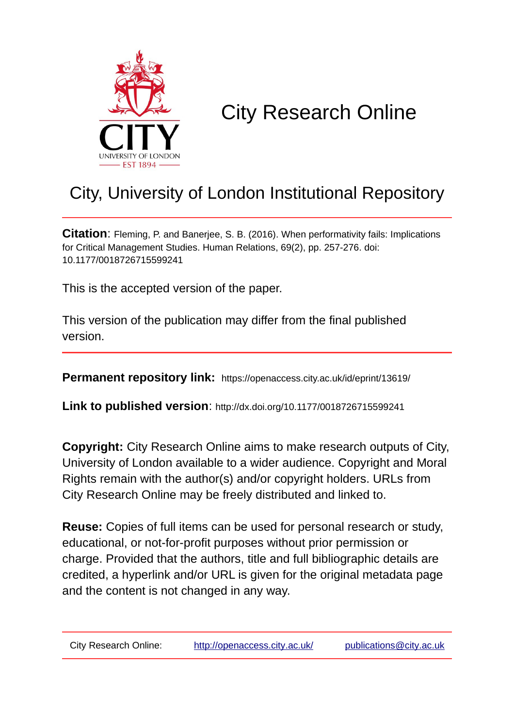

# City Research Online

# City, University of London Institutional Repository

**Citation**: Fleming, P. and Banerjee, S. B. (2016). When performativity fails: Implications for Critical Management Studies. Human Relations, 69(2), pp. 257-276. doi: 10.1177/0018726715599241

This is the accepted version of the paper.

This version of the publication may differ from the final published version.

**Permanent repository link:** https://openaccess.city.ac.uk/id/eprint/13619/

**Link to published version**: http://dx.doi.org/10.1177/0018726715599241

**Copyright:** City Research Online aims to make research outputs of City, University of London available to a wider audience. Copyright and Moral Rights remain with the author(s) and/or copyright holders. URLs from City Research Online may be freely distributed and linked to.

**Reuse:** Copies of full items can be used for personal research or study, educational, or not-for-profit purposes without prior permission or charge. Provided that the authors, title and full bibliographic details are credited, a hyperlink and/or URL is given for the original metadata page and the content is not changed in any way.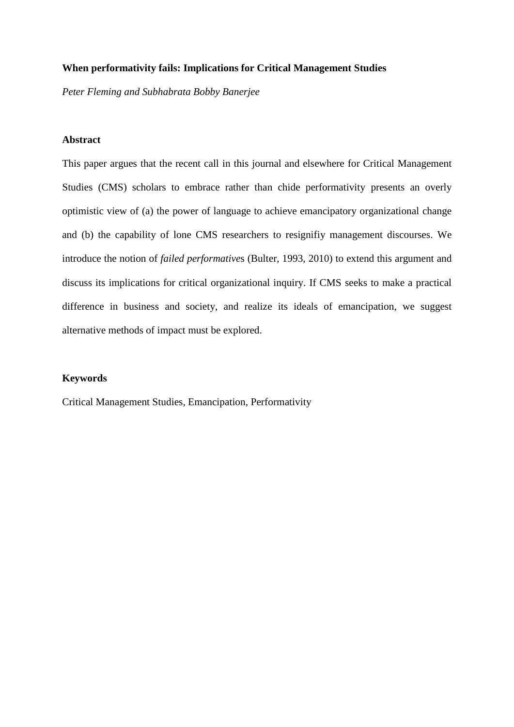# **When performativity fails: Implications for Critical Management Studies**

*Peter Fleming and Subhabrata Bobby Banerjee*

# **Abstract**

This paper argues that the recent call in this journal and elsewhere for Critical Management Studies (CMS) scholars to embrace rather than chide performativity presents an overly optimistic view of (a) the power of language to achieve emancipatory organizational change and (b) the capability of lone CMS researchers to resignifiy management discourses. We introduce the notion of *failed performative*s (Bulter, 1993, 2010) to extend this argument and discuss its implications for critical organizational inquiry. If CMS seeks to make a practical difference in business and society, and realize its ideals of emancipation, we suggest alternative methods of impact must be explored.

# **Keywords**

Critical Management Studies, Emancipation, Performativity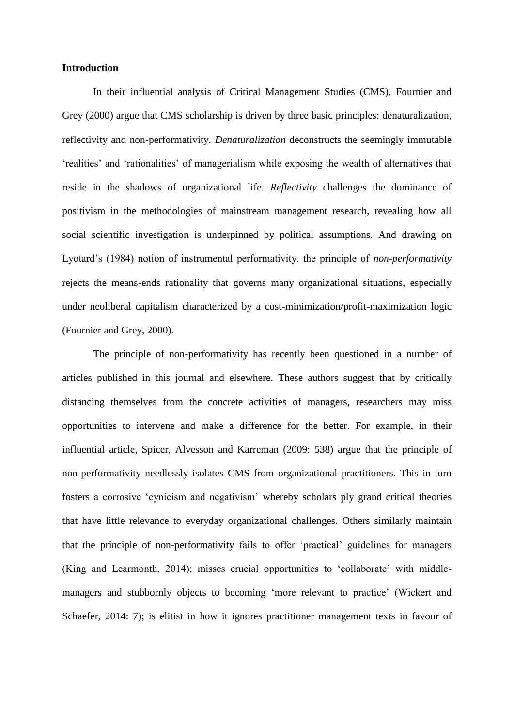#### **Introduction**

In their influential analysis of Critical Management Studies (CMS), Fournier and Grey (2000) argue that CMS scholarship is driven by three basic principles: denaturalization, reflectivity and non-performativity. *Denaturalization* deconstructs the seemingly immutable 'realities' and 'rationalities' of managerialism while exposing the wealth of alternatives that reside in the shadows of organizational life. *Reflectivity* challenges the dominance of positivism in the methodologies of mainstream management research, revealing how all social scientific investigation is underpinned by political assumptions. And drawing on Lyotard's (1984) notion of instrumental performativity, the principle of *non-performativity* rejects the means-ends rationality that governs many organizational situations, especially under neoliberal capitalism characterized by a cost-minimization/profit-maximization logic (Fournier and Grey, 2000).

The principle of non-performativity has recently been questioned in a number of articles published in this journal and elsewhere. These authors suggest that by critically distancing themselves from the concrete activities of managers, researchers may miss opportunities to intervene and make a difference for the better. For example, in their influential article, Spicer, Alvesson and Karreman (2009: 538) argue that the principle of non-performativity needlessly isolates CMS from organizational practitioners. This in turn fosters a corrosive 'cynicism and negativism' whereby scholars ply grand critical theories that have little relevance to everyday organizational challenges. Others similarly maintain that the principle of non-performativity fails to offer 'practical' guidelines for managers (King and Learmonth, 2014); misses crucial opportunities to 'collaborate' with middlemanagers and stubbornly objects to becoming 'more relevant to practice' (Wickert and Schaefer, 2014: 7); is elitist in how it ignores practitioner management texts in favour of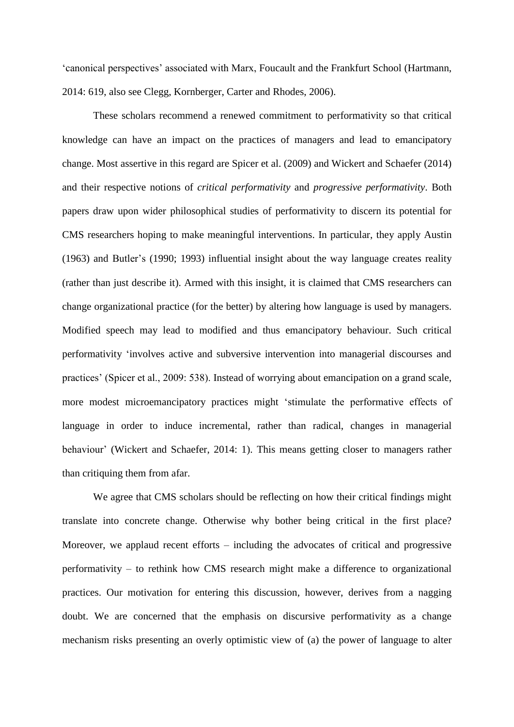'canonical perspectives' associated with Marx, Foucault and the Frankfurt School (Hartmann, 2014: 619, also see Clegg, Kornberger, Carter and Rhodes, 2006).

These scholars recommend a renewed commitment to performativity so that critical knowledge can have an impact on the practices of managers and lead to emancipatory change. Most assertive in this regard are Spicer et al. (2009) and Wickert and Schaefer (2014) and their respective notions of *critical performativity* and *progressive performativity*. Both papers draw upon wider philosophical studies of performativity to discern its potential for CMS researchers hoping to make meaningful interventions. In particular, they apply Austin (1963) and Butler's (1990; 1993) influential insight about the way language creates reality (rather than just describe it). Armed with this insight, it is claimed that CMS researchers can change organizational practice (for the better) by altering how language is used by managers. Modified speech may lead to modified and thus emancipatory behaviour. Such critical performativity 'involves active and subversive intervention into managerial discourses and practices' (Spicer et al., 2009: 538). Instead of worrying about emancipation on a grand scale, more modest microemancipatory practices might 'stimulate the performative effects of language in order to induce incremental, rather than radical, changes in managerial behaviour' (Wickert and Schaefer, 2014: 1). This means getting closer to managers rather than critiquing them from afar.

We agree that CMS scholars should be reflecting on how their critical findings might translate into concrete change. Otherwise why bother being critical in the first place? Moreover, we applaud recent efforts – including the advocates of critical and progressive performativity – to rethink how CMS research might make a difference to organizational practices. Our motivation for entering this discussion, however, derives from a nagging doubt. We are concerned that the emphasis on discursive performativity as a change mechanism risks presenting an overly optimistic view of (a) the power of language to alter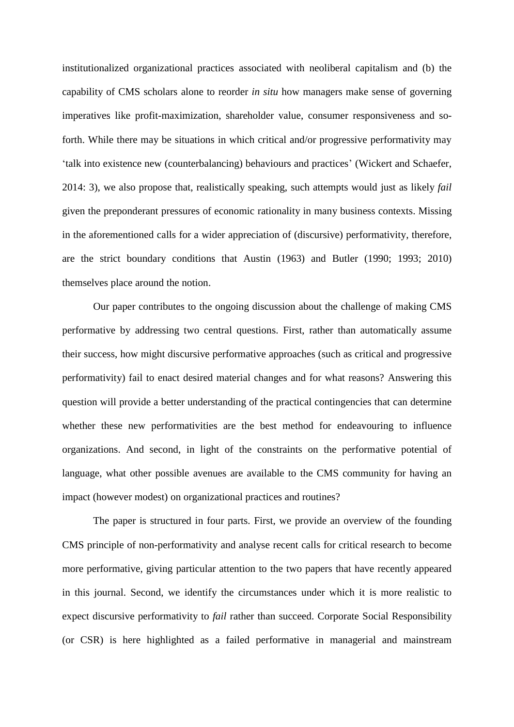institutionalized organizational practices associated with neoliberal capitalism and (b) the capability of CMS scholars alone to reorder *in situ* how managers make sense of governing imperatives like profit-maximization, shareholder value, consumer responsiveness and soforth. While there may be situations in which critical and/or progressive performativity may 'talk into existence new (counterbalancing) behaviours and practices' (Wickert and Schaefer, 2014: 3), we also propose that, realistically speaking, such attempts would just as likely *fail* given the preponderant pressures of economic rationality in many business contexts. Missing in the aforementioned calls for a wider appreciation of (discursive) performativity, therefore, are the strict boundary conditions that Austin (1963) and Butler (1990; 1993; 2010) themselves place around the notion.

Our paper contributes to the ongoing discussion about the challenge of making CMS performative by addressing two central questions. First, rather than automatically assume their success, how might discursive performative approaches (such as critical and progressive performativity) fail to enact desired material changes and for what reasons? Answering this question will provide a better understanding of the practical contingencies that can determine whether these new performativities are the best method for endeavouring to influence organizations. And second, in light of the constraints on the performative potential of language, what other possible avenues are available to the CMS community for having an impact (however modest) on organizational practices and routines?

The paper is structured in four parts. First, we provide an overview of the founding CMS principle of non-performativity and analyse recent calls for critical research to become more performative, giving particular attention to the two papers that have recently appeared in this journal. Second, we identify the circumstances under which it is more realistic to expect discursive performativity to *fail* rather than succeed. Corporate Social Responsibility (or CSR) is here highlighted as a failed performative in managerial and mainstream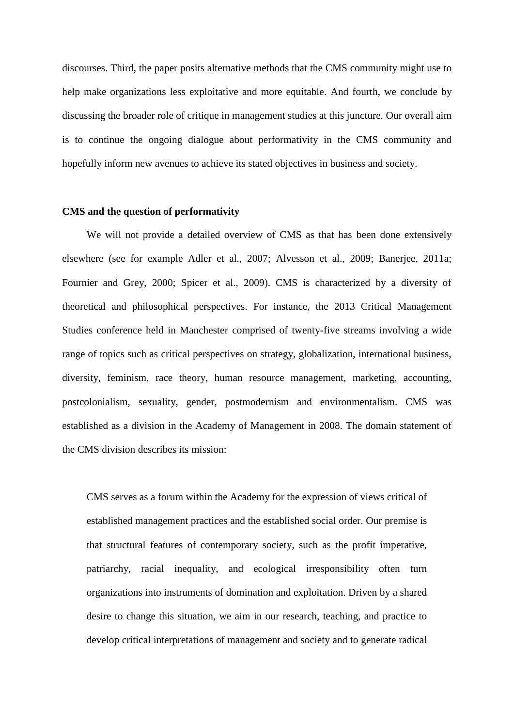discourses. Third, the paper posits alternative methods that the CMS community might use to help make organizations less exploitative and more equitable. And fourth, we conclude by discussing the broader role of critique in management studies at this juncture. Our overall aim is to continue the ongoing dialogue about performativity in the CMS community and hopefully inform new avenues to achieve its stated objectives in business and society.

#### **CMS and the question of performativity**

We will not provide a detailed overview of CMS as that has been done extensively elsewhere (see for example Adler et al., 2007; Alvesson et al., 2009; Banerjee, 2011a; Fournier and Grey, 2000; Spicer et al., 2009). CMS is characterized by a diversity of theoretical and philosophical perspectives. For instance, the 2013 Critical Management Studies conference held in Manchester comprised of twenty-five streams involving a wide range of topics such as critical perspectives on strategy, globalization, international business, diversity, feminism, race theory, human resource management, marketing, accounting, postcolonialism, sexuality, gender, postmodernism and environmentalism. CMS was established as a division in the Academy of Management in 2008. The domain statement of the CMS division describes its mission:

CMS serves as a forum within the Academy for the expression of views critical of established management practices and the established social order. Our premise is that structural features of contemporary society, such as the profit imperative, patriarchy, racial inequality, and ecological irresponsibility often turn organizations into instruments of domination and exploitation. Driven by a shared desire to change this situation, we aim in our research, teaching, and practice to develop critical interpretations of management and society and to generate radical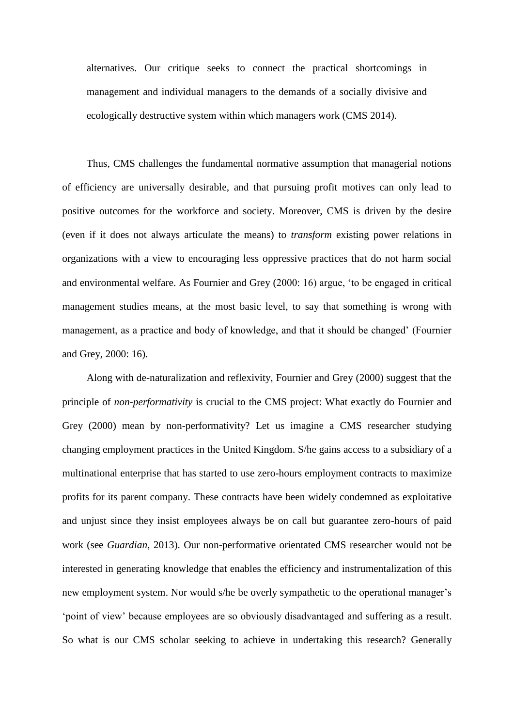alternatives. Our critique seeks to connect the practical shortcomings in management and individual managers to the demands of a socially divisive and ecologically destructive system within which managers work (CMS 2014).

Thus, CMS challenges the fundamental normative assumption that managerial notions of efficiency are universally desirable, and that pursuing profit motives can only lead to positive outcomes for the workforce and society. Moreover, CMS is driven by the desire (even if it does not always articulate the means) to *transform* existing power relations in organizations with a view to encouraging less oppressive practices that do not harm social and environmental welfare. As Fournier and Grey (2000: 16) argue, 'to be engaged in critical management studies means, at the most basic level, to say that something is wrong with management, as a practice and body of knowledge, and that it should be changed' (Fournier and Grey, 2000: 16).

Along with de-naturalization and reflexivity, Fournier and Grey (2000) suggest that the principle of *non-performativity* is crucial to the CMS project: What exactly do Fournier and Grey (2000) mean by non-performativity? Let us imagine a CMS researcher studying changing employment practices in the United Kingdom. S/he gains access to a subsidiary of a multinational enterprise that has started to use zero-hours employment contracts to maximize profits for its parent company. These contracts have been widely condemned as exploitative and unjust since they insist employees always be on call but guarantee zero-hours of paid work (see *Guardian*, 2013). Our non-performative orientated CMS researcher would not be interested in generating knowledge that enables the efficiency and instrumentalization of this new employment system. Nor would s/he be overly sympathetic to the operational manager's 'point of view' because employees are so obviously disadvantaged and suffering as a result. So what is our CMS scholar seeking to achieve in undertaking this research? Generally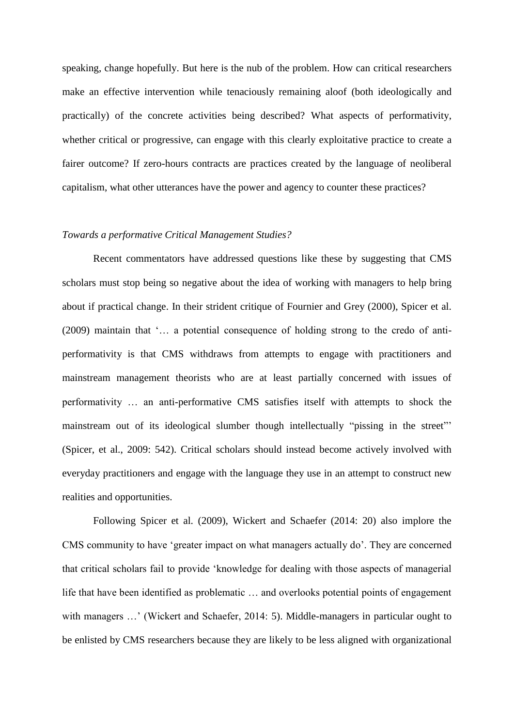speaking, change hopefully. But here is the nub of the problem. How can critical researchers make an effective intervention while tenaciously remaining aloof (both ideologically and practically) of the concrete activities being described? What aspects of performativity, whether critical or progressive, can engage with this clearly exploitative practice to create a fairer outcome? If zero-hours contracts are practices created by the language of neoliberal capitalism, what other utterances have the power and agency to counter these practices?

#### *Towards a performative Critical Management Studies?*

Recent commentators have addressed questions like these by suggesting that CMS scholars must stop being so negative about the idea of working with managers to help bring about if practical change. In their strident critique of Fournier and Grey (2000), Spicer et al. (2009) maintain that '… a potential consequence of holding strong to the credo of antiperformativity is that CMS withdraws from attempts to engage with practitioners and mainstream management theorists who are at least partially concerned with issues of performativity … an anti-performative CMS satisfies itself with attempts to shock the mainstream out of its ideological slumber though intellectually "pissing in the street"' (Spicer, et al., 2009: 542). Critical scholars should instead become actively involved with everyday practitioners and engage with the language they use in an attempt to construct new realities and opportunities.

Following Spicer et al. (2009), Wickert and Schaefer (2014: 20) also implore the CMS community to have 'greater impact on what managers actually do'. They are concerned that critical scholars fail to provide 'knowledge for dealing with those aspects of managerial life that have been identified as problematic … and overlooks potential points of engagement with managers ...' (Wickert and Schaefer, 2014: 5). Middle-managers in particular ought to be enlisted by CMS researchers because they are likely to be less aligned with organizational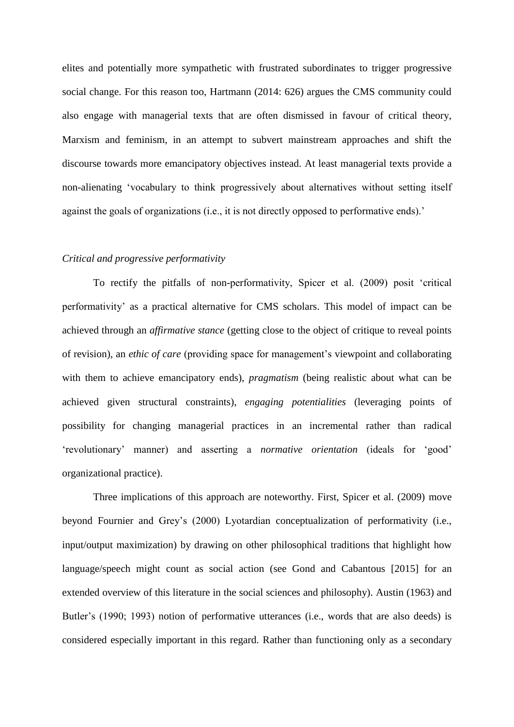elites and potentially more sympathetic with frustrated subordinates to trigger progressive social change. For this reason too, Hartmann (2014: 626) argues the CMS community could also engage with managerial texts that are often dismissed in favour of critical theory, Marxism and feminism, in an attempt to subvert mainstream approaches and shift the discourse towards more emancipatory objectives instead. At least managerial texts provide a non-alienating 'vocabulary to think progressively about alternatives without setting itself against the goals of organizations (i.e., it is not directly opposed to performative ends).'

## *Critical and progressive performativity*

To rectify the pitfalls of non-performativity, Spicer et al. (2009) posit 'critical performativity' as a practical alternative for CMS scholars. This model of impact can be achieved through an *affirmative stance* (getting close to the object of critique to reveal points of revision), an *ethic of care* (providing space for management's viewpoint and collaborating with them to achieve emancipatory ends), *pragmatism* (being realistic about what can be achieved given structural constraints), *engaging potentialities* (leveraging points of possibility for changing managerial practices in an incremental rather than radical 'revolutionary' manner) and asserting a *normative orientation* (ideals for 'good' organizational practice).

Three implications of this approach are noteworthy. First, Spicer et al. (2009) move beyond Fournier and Grey's (2000) Lyotardian conceptualization of performativity (i.e., input/output maximization) by drawing on other philosophical traditions that highlight how language/speech might count as social action (see Gond and Cabantous [2015] for an extended overview of this literature in the social sciences and philosophy). Austin (1963) and Butler's (1990; 1993) notion of performative utterances (i.e., words that are also deeds) is considered especially important in this regard. Rather than functioning only as a secondary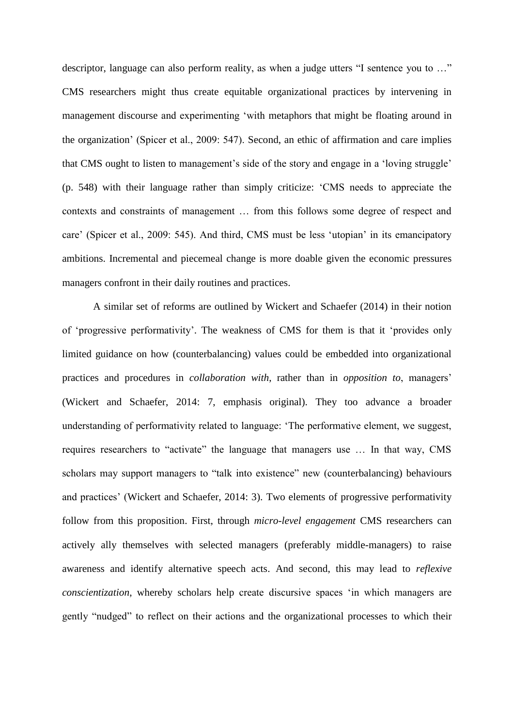descriptor, language can also perform reality, as when a judge utters "I sentence you to …" CMS researchers might thus create equitable organizational practices by intervening in management discourse and experimenting 'with metaphors that might be floating around in the organization' (Spicer et al., 2009: 547). Second, an ethic of affirmation and care implies that CMS ought to listen to management's side of the story and engage in a 'loving struggle' (p. 548) with their language rather than simply criticize: 'CMS needs to appreciate the contexts and constraints of management … from this follows some degree of respect and care' (Spicer et al., 2009: 545). And third, CMS must be less 'utopian' in its emancipatory ambitions. Incremental and piecemeal change is more doable given the economic pressures managers confront in their daily routines and practices.

A similar set of reforms are outlined by Wickert and Schaefer (2014) in their notion of 'progressive performativity'. The weakness of CMS for them is that it 'provides only limited guidance on how (counterbalancing) values could be embedded into organizational practices and procedures in *collaboration with*, rather than in *opposition to*, managers' (Wickert and Schaefer, 2014: 7, emphasis original). They too advance a broader understanding of performativity related to language: 'The performative element, we suggest, requires researchers to "activate" the language that managers use … In that way, CMS scholars may support managers to "talk into existence" new (counterbalancing) behaviours and practices' (Wickert and Schaefer, 2014: 3). Two elements of progressive performativity follow from this proposition. First, through *micro-level engagement* CMS researchers can actively ally themselves with selected managers (preferably middle-managers) to raise awareness and identify alternative speech acts. And second, this may lead to *reflexive conscientization*, whereby scholars help create discursive spaces 'in which managers are gently "nudged" to reflect on their actions and the organizational processes to which their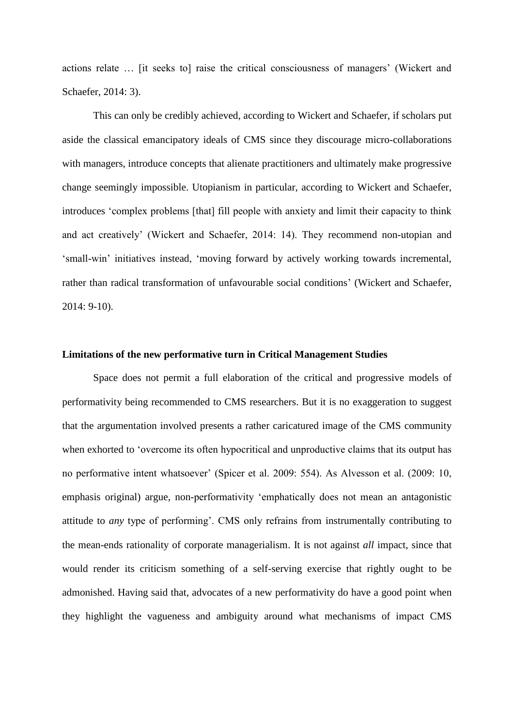actions relate … [it seeks to] raise the critical consciousness of managers' (Wickert and Schaefer, 2014: 3).

This can only be credibly achieved, according to Wickert and Schaefer, if scholars put aside the classical emancipatory ideals of CMS since they discourage micro-collaborations with managers, introduce concepts that alienate practitioners and ultimately make progressive change seemingly impossible. Utopianism in particular, according to Wickert and Schaefer, introduces 'complex problems [that] fill people with anxiety and limit their capacity to think and act creatively' (Wickert and Schaefer, 2014: 14). They recommend non-utopian and 'small-win' initiatives instead, 'moving forward by actively working towards incremental, rather than radical transformation of unfavourable social conditions' (Wickert and Schaefer, 2014: 9-10).

# **Limitations of the new performative turn in Critical Management Studies**

Space does not permit a full elaboration of the critical and progressive models of performativity being recommended to CMS researchers. But it is no exaggeration to suggest that the argumentation involved presents a rather caricatured image of the CMS community when exhorted to 'overcome its often hypocritical and unproductive claims that its output has no performative intent whatsoever' (Spicer et al. 2009: 554). As Alvesson et al. (2009: 10, emphasis original) argue, non-performativity 'emphatically does not mean an antagonistic attitude to *any* type of performing'. CMS only refrains from instrumentally contributing to the mean-ends rationality of corporate managerialism. It is not against *all* impact, since that would render its criticism something of a self-serving exercise that rightly ought to be admonished. Having said that, advocates of a new performativity do have a good point when they highlight the vagueness and ambiguity around what mechanisms of impact CMS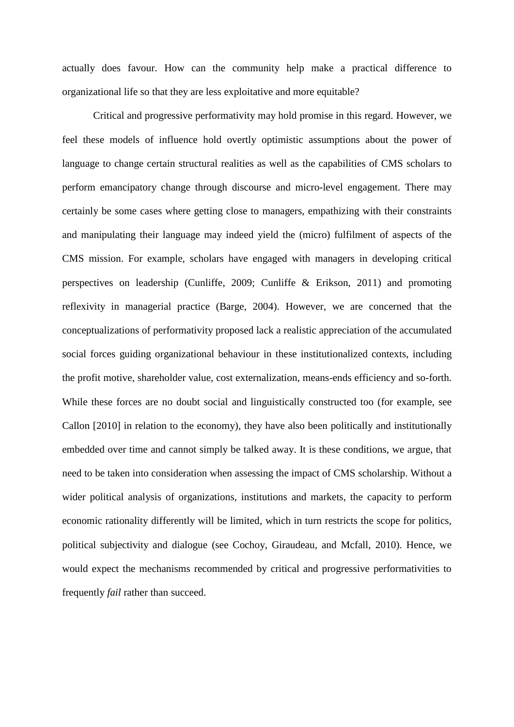actually does favour. How can the community help make a practical difference to organizational life so that they are less exploitative and more equitable?

Critical and progressive performativity may hold promise in this regard. However, we feel these models of influence hold overtly optimistic assumptions about the power of language to change certain structural realities as well as the capabilities of CMS scholars to perform emancipatory change through discourse and micro-level engagement. There may certainly be some cases where getting close to managers, empathizing with their constraints and manipulating their language may indeed yield the (micro) fulfilment of aspects of the CMS mission. For example, scholars have engaged with managers in developing critical perspectives on leadership (Cunliffe, 2009; Cunliffe & Erikson, 2011) and promoting reflexivity in managerial practice (Barge, 2004). However, we are concerned that the conceptualizations of performativity proposed lack a realistic appreciation of the accumulated social forces guiding organizational behaviour in these institutionalized contexts, including the profit motive, shareholder value, cost externalization, means-ends efficiency and so-forth. While these forces are no doubt social and linguistically constructed too (for example, see Callon [2010] in relation to the economy), they have also been politically and institutionally embedded over time and cannot simply be talked away. It is these conditions, we argue, that need to be taken into consideration when assessing the impact of CMS scholarship. Without a wider political analysis of organizations, institutions and markets, the capacity to perform economic rationality differently will be limited, which in turn restricts the scope for politics, political subjectivity and dialogue (see Cochoy, Giraudeau, and Mcfall, 2010). Hence, we would expect the mechanisms recommended by critical and progressive performativities to frequently *fail* rather than succeed.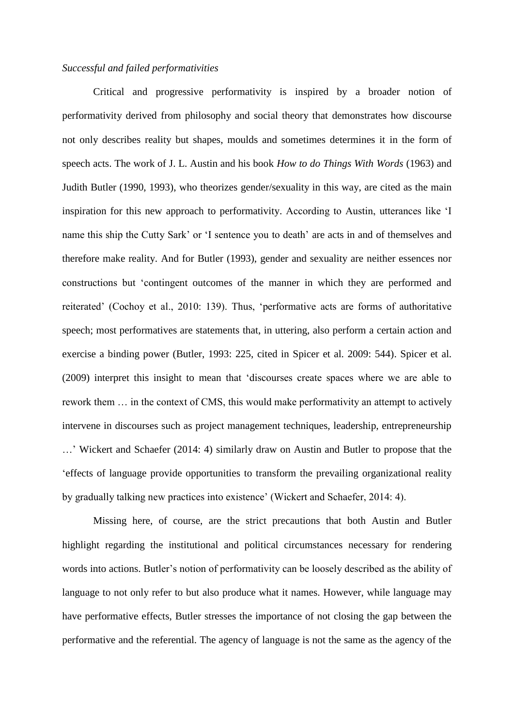### *Successful and failed performativities*

Critical and progressive performativity is inspired by a broader notion of performativity derived from philosophy and social theory that demonstrates how discourse not only describes reality but shapes, moulds and sometimes determines it in the form of speech acts. The work of J. L. Austin and his book *How to do Things With Words* (1963) and Judith Butler (1990, 1993), who theorizes gender/sexuality in this way, are cited as the main inspiration for this new approach to performativity. According to Austin, utterances like 'I name this ship the Cutty Sark' or 'I sentence you to death' are acts in and of themselves and therefore make reality. And for Butler (1993), gender and sexuality are neither essences nor constructions but 'contingent outcomes of the manner in which they are performed and reiterated' (Cochoy et al., 2010: 139). Thus, 'performative acts are forms of authoritative speech; most performatives are statements that, in uttering, also perform a certain action and exercise a binding power (Butler, 1993: 225, cited in Spicer et al. 2009: 544). Spicer et al. (2009) interpret this insight to mean that 'discourses create spaces where we are able to rework them … in the context of CMS, this would make performativity an attempt to actively intervene in discourses such as project management techniques, leadership, entrepreneurship …' Wickert and Schaefer (2014: 4) similarly draw on Austin and Butler to propose that the 'effects of language provide opportunities to transform the prevailing organizational reality by gradually talking new practices into existence' (Wickert and Schaefer, 2014: 4).

Missing here, of course, are the strict precautions that both Austin and Butler highlight regarding the institutional and political circumstances necessary for rendering words into actions. Butler's notion of performativity can be loosely described as the ability of language to not only refer to but also produce what it names. However, while language may have performative effects, Butler stresses the importance of not closing the gap between the performative and the referential. The agency of language is not the same as the agency of the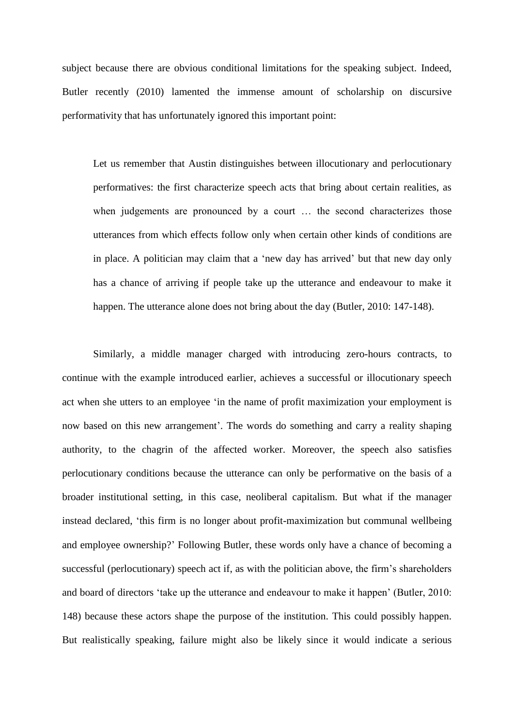subject because there are obvious conditional limitations for the speaking subject. Indeed, Butler recently (2010) lamented the immense amount of scholarship on discursive performativity that has unfortunately ignored this important point:

Let us remember that Austin distinguishes between illocutionary and perlocutionary performatives: the first characterize speech acts that bring about certain realities, as when judgements are pronounced by a court … the second characterizes those utterances from which effects follow only when certain other kinds of conditions are in place. A politician may claim that a 'new day has arrived' but that new day only has a chance of arriving if people take up the utterance and endeavour to make it happen. The utterance alone does not bring about the day (Butler, 2010: 147-148).

Similarly, a middle manager charged with introducing zero-hours contracts, to continue with the example introduced earlier, achieves a successful or illocutionary speech act when she utters to an employee 'in the name of profit maximization your employment is now based on this new arrangement'. The words do something and carry a reality shaping authority, to the chagrin of the affected worker. Moreover, the speech also satisfies perlocutionary conditions because the utterance can only be performative on the basis of a broader institutional setting, in this case, neoliberal capitalism. But what if the manager instead declared, 'this firm is no longer about profit-maximization but communal wellbeing and employee ownership?' Following Butler, these words only have a chance of becoming a successful (perlocutionary) speech act if, as with the politician above, the firm's shareholders and board of directors 'take up the utterance and endeavour to make it happen' (Butler, 2010: 148) because these actors shape the purpose of the institution. This could possibly happen. But realistically speaking, failure might also be likely since it would indicate a serious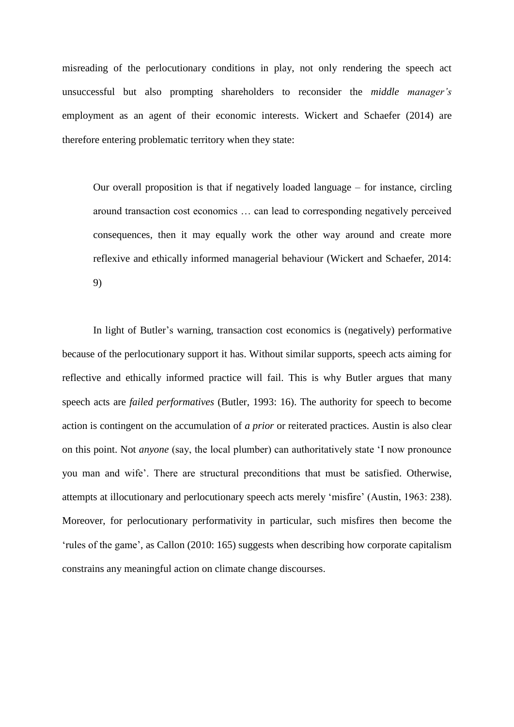misreading of the perlocutionary conditions in play, not only rendering the speech act unsuccessful but also prompting shareholders to reconsider the *middle manager's*  employment as an agent of their economic interests. Wickert and Schaefer (2014) are therefore entering problematic territory when they state:

Our overall proposition is that if negatively loaded language – for instance, circling around transaction cost economics … can lead to corresponding negatively perceived consequences, then it may equally work the other way around and create more reflexive and ethically informed managerial behaviour (Wickert and Schaefer, 2014: 9)

In light of Butler's warning, transaction cost economics is (negatively) performative because of the perlocutionary support it has. Without similar supports, speech acts aiming for reflective and ethically informed practice will fail. This is why Butler argues that many speech acts are *failed performatives* (Butler, 1993: 16). The authority for speech to become action is contingent on the accumulation of *a prior* or reiterated practices. Austin is also clear on this point. Not *anyone* (say, the local plumber) can authoritatively state 'I now pronounce you man and wife'. There are structural preconditions that must be satisfied. Otherwise, attempts at illocutionary and perlocutionary speech acts merely 'misfire' (Austin, 1963: 238). Moreover, for perlocutionary performativity in particular, such misfires then become the 'rules of the game', as Callon (2010: 165) suggests when describing how corporate capitalism constrains any meaningful action on climate change discourses.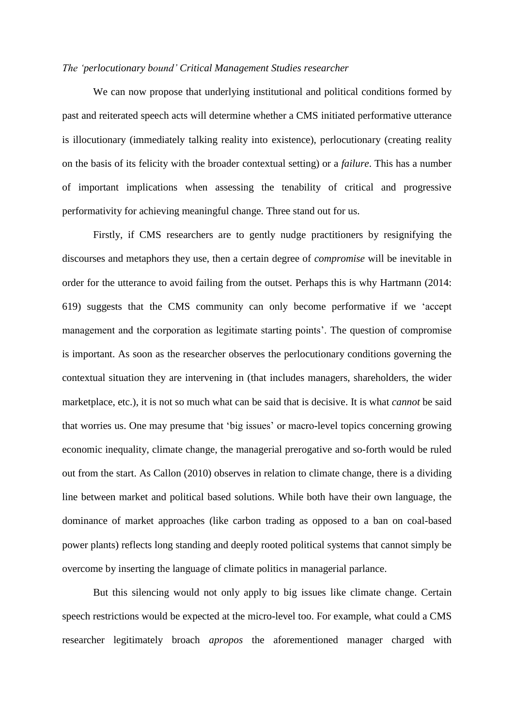#### *The 'perlocutionary bound' Critical Management Studies researcher*

We can now propose that underlying institutional and political conditions formed by past and reiterated speech acts will determine whether a CMS initiated performative utterance is illocutionary (immediately talking reality into existence), perlocutionary (creating reality on the basis of its felicity with the broader contextual setting) or a *failure*. This has a number of important implications when assessing the tenability of critical and progressive performativity for achieving meaningful change. Three stand out for us.

Firstly, if CMS researchers are to gently nudge practitioners by resignifying the discourses and metaphors they use, then a certain degree of *compromise* will be inevitable in order for the utterance to avoid failing from the outset. Perhaps this is why Hartmann (2014: 619) suggests that the CMS community can only become performative if we 'accept management and the corporation as legitimate starting points'. The question of compromise is important. As soon as the researcher observes the perlocutionary conditions governing the contextual situation they are intervening in (that includes managers, shareholders, the wider marketplace, etc.), it is not so much what can be said that is decisive. It is what *cannot* be said that worries us. One may presume that 'big issues' or macro-level topics concerning growing economic inequality, climate change, the managerial prerogative and so-forth would be ruled out from the start. As Callon (2010) observes in relation to climate change, there is a dividing line between market and political based solutions. While both have their own language, the dominance of market approaches (like carbon trading as opposed to a ban on coal-based power plants) reflects long standing and deeply rooted political systems that cannot simply be overcome by inserting the language of climate politics in managerial parlance.

But this silencing would not only apply to big issues like climate change. Certain speech restrictions would be expected at the micro-level too. For example, what could a CMS researcher legitimately broach *apropos* the aforementioned manager charged with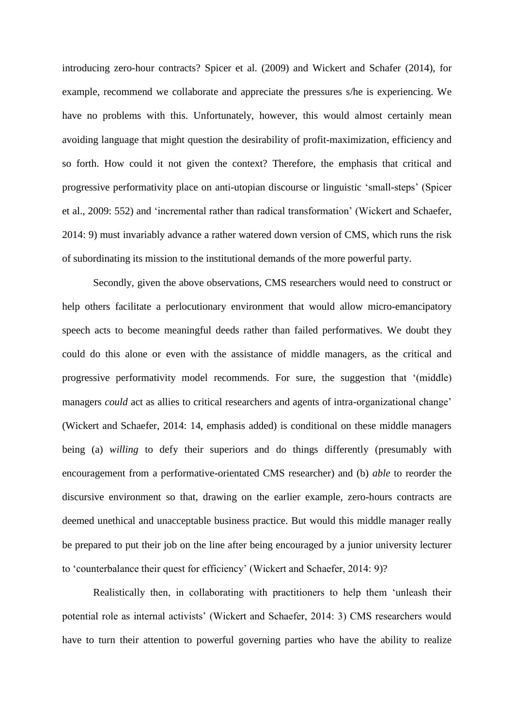introducing zero-hour contracts? Spicer et al. (2009) and Wickert and Schafer (2014), for example, recommend we collaborate and appreciate the pressures s/he is experiencing. We have no problems with this. Unfortunately, however, this would almost certainly mean avoiding language that might question the desirability of profit-maximization, efficiency and so forth. How could it not given the context? Therefore, the emphasis that critical and progressive performativity place on anti-utopian discourse or linguistic 'small-steps' (Spicer et al., 2009: 552) and 'incremental rather than radical transformation' (Wickert and Schaefer, 2014: 9) must invariably advance a rather watered down version of CMS, which runs the risk of subordinating its mission to the institutional demands of the more powerful party.

Secondly, given the above observations, CMS researchers would need to construct or help others facilitate a perlocutionary environment that would allow micro-emancipatory speech acts to become meaningful deeds rather than failed performatives. We doubt they could do this alone or even with the assistance of middle managers, as the critical and progressive performativity model recommends. For sure, the suggestion that '(middle) managers *could* act as allies to critical researchers and agents of intra-organizational change' (Wickert and Schaefer, 2014: 14, emphasis added) is conditional on these middle managers being (a) *willing* to defy their superiors and do things differently (presumably with encouragement from a performative-orientated CMS researcher) and (b) *able* to reorder the discursive environment so that, drawing on the earlier example, zero-hours contracts are deemed unethical and unacceptable business practice. But would this middle manager really be prepared to put their job on the line after being encouraged by a junior university lecturer to 'counterbalance their quest for efficiency' (Wickert and Schaefer, 2014: 9)?

Realistically then, in collaborating with practitioners to help them 'unleash their potential role as internal activists' (Wickert and Schaefer, 2014: 3) CMS researchers would have to turn their attention to powerful governing parties who have the ability to realize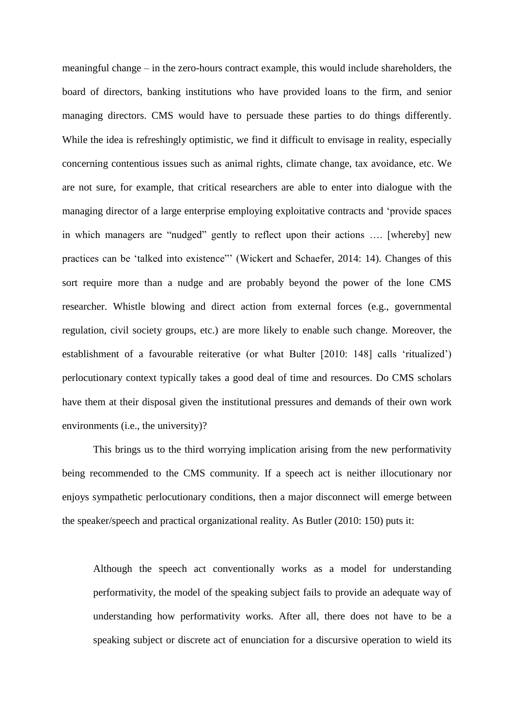meaningful change – in the zero-hours contract example, this would include shareholders, the board of directors, banking institutions who have provided loans to the firm, and senior managing directors. CMS would have to persuade these parties to do things differently. While the idea is refreshingly optimistic, we find it difficult to envisage in reality, especially concerning contentious issues such as animal rights, climate change, tax avoidance, etc. We are not sure, for example, that critical researchers are able to enter into dialogue with the managing director of a large enterprise employing exploitative contracts and 'provide spaces in which managers are "nudged" gently to reflect upon their actions …. [whereby] new practices can be 'talked into existence"' (Wickert and Schaefer, 2014: 14). Changes of this sort require more than a nudge and are probably beyond the power of the lone CMS researcher. Whistle blowing and direct action from external forces (e.g., governmental regulation, civil society groups, etc.) are more likely to enable such change. Moreover, the establishment of a favourable reiterative (or what Bulter [2010: 148] calls 'ritualized') perlocutionary context typically takes a good deal of time and resources. Do CMS scholars have them at their disposal given the institutional pressures and demands of their own work environments (i.e., the university)?

This brings us to the third worrying implication arising from the new performativity being recommended to the CMS community. If a speech act is neither illocutionary nor enjoys sympathetic perlocutionary conditions, then a major disconnect will emerge between the speaker/speech and practical organizational reality. As Butler (2010: 150) puts it:

Although the speech act conventionally works as a model for understanding performativity, the model of the speaking subject fails to provide an adequate way of understanding how performativity works. After all, there does not have to be a speaking subject or discrete act of enunciation for a discursive operation to wield its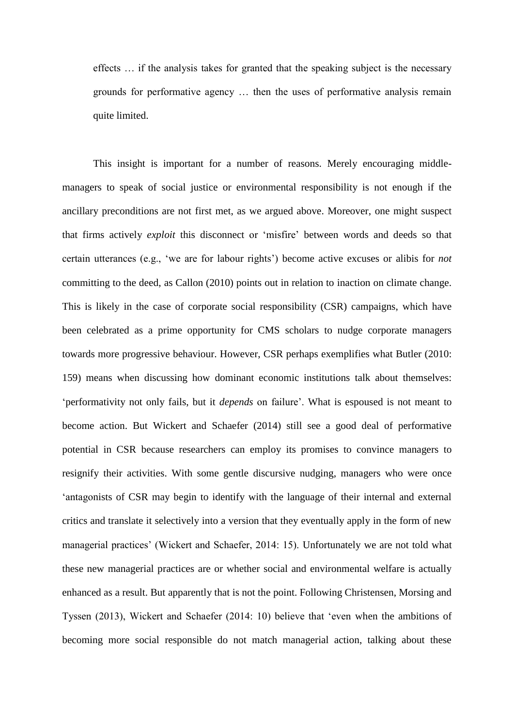effects … if the analysis takes for granted that the speaking subject is the necessary grounds for performative agency … then the uses of performative analysis remain quite limited.

This insight is important for a number of reasons. Merely encouraging middlemanagers to speak of social justice or environmental responsibility is not enough if the ancillary preconditions are not first met, as we argued above. Moreover, one might suspect that firms actively *exploit* this disconnect or 'misfire' between words and deeds so that certain utterances (e.g., 'we are for labour rights') become active excuses or alibis for *not* committing to the deed, as Callon (2010) points out in relation to inaction on climate change. This is likely in the case of corporate social responsibility (CSR) campaigns, which have been celebrated as a prime opportunity for CMS scholars to nudge corporate managers towards more progressive behaviour. However, CSR perhaps exemplifies what Butler (2010: 159) means when discussing how dominant economic institutions talk about themselves: 'performativity not only fails, but it *depends* on failure'. What is espoused is not meant to become action. But Wickert and Schaefer (2014) still see a good deal of performative potential in CSR because researchers can employ its promises to convince managers to resignify their activities. With some gentle discursive nudging, managers who were once 'antagonists of CSR may begin to identify with the language of their internal and external critics and translate it selectively into a version that they eventually apply in the form of new managerial practices' (Wickert and Schaefer, 2014: 15). Unfortunately we are not told what these new managerial practices are or whether social and environmental welfare is actually enhanced as a result. But apparently that is not the point. Following Christensen, Morsing and Tyssen (2013), Wickert and Schaefer (2014: 10) believe that 'even when the ambitions of becoming more social responsible do not match managerial action, talking about these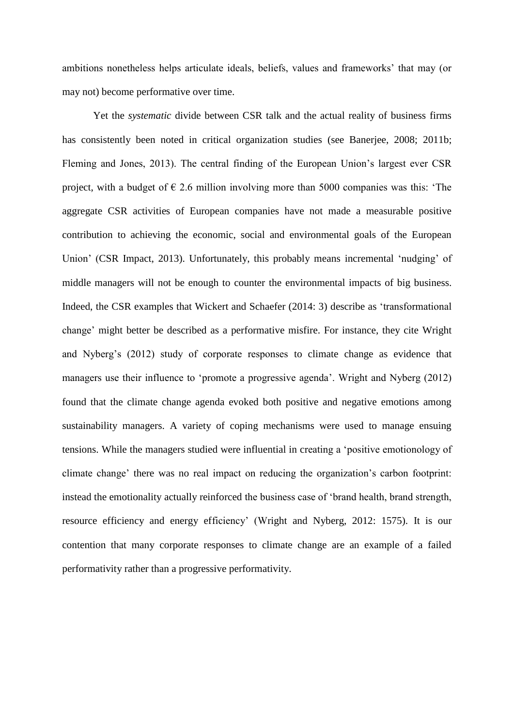ambitions nonetheless helps articulate ideals, beliefs, values and frameworks' that may (or may not) become performative over time.

Yet the *systematic* divide between CSR talk and the actual reality of business firms has consistently been noted in critical organization studies (see Banerjee, 2008; 2011b; Fleming and Jones, 2013). The central finding of the European Union's largest ever CSR project, with a budget of  $\epsilon$  2.6 million involving more than 5000 companies was this: 'The aggregate CSR activities of European companies have not made a measurable positive contribution to achieving the economic, social and environmental goals of the European Union' (CSR Impact, 2013). Unfortunately, this probably means incremental 'nudging' of middle managers will not be enough to counter the environmental impacts of big business. Indeed, the CSR examples that Wickert and Schaefer (2014: 3) describe as 'transformational change' might better be described as a performative misfire. For instance, they cite Wright and Nyberg's (2012) study of corporate responses to climate change as evidence that managers use their influence to 'promote a progressive agenda'. Wright and Nyberg (2012) found that the climate change agenda evoked both positive and negative emotions among sustainability managers. A variety of coping mechanisms were used to manage ensuing tensions. While the managers studied were influential in creating a 'positive emotionology of climate change' there was no real impact on reducing the organization's carbon footprint: instead the emotionality actually reinforced the business case of 'brand health, brand strength, resource efficiency and energy efficiency' (Wright and Nyberg, 2012: 1575). It is our contention that many corporate responses to climate change are an example of a failed performativity rather than a progressive performativity.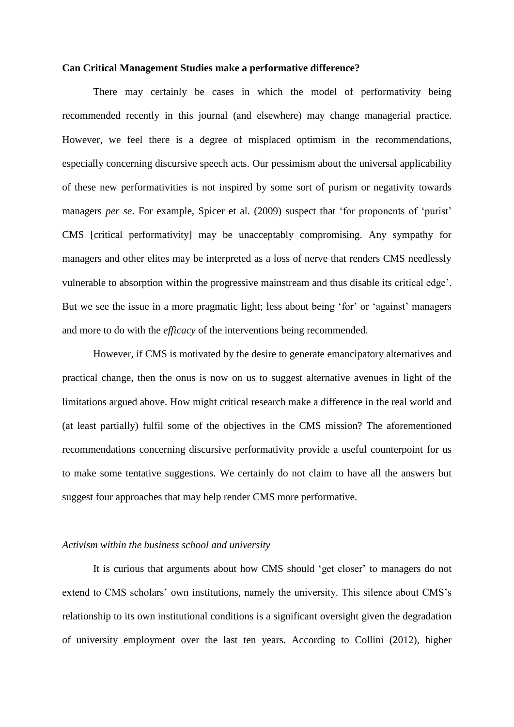#### **Can Critical Management Studies make a performative difference?**

There may certainly be cases in which the model of performativity being recommended recently in this journal (and elsewhere) may change managerial practice. However, we feel there is a degree of misplaced optimism in the recommendations, especially concerning discursive speech acts. Our pessimism about the universal applicability of these new performativities is not inspired by some sort of purism or negativity towards managers *per se*. For example, Spicer et al. (2009) suspect that 'for proponents of 'purist' CMS [critical performativity] may be unacceptably compromising. Any sympathy for managers and other elites may be interpreted as a loss of nerve that renders CMS needlessly vulnerable to absorption within the progressive mainstream and thus disable its critical edge'. But we see the issue in a more pragmatic light; less about being 'for' or 'against' managers and more to do with the *efficacy* of the interventions being recommended.

However, if CMS is motivated by the desire to generate emancipatory alternatives and practical change, then the onus is now on us to suggest alternative avenues in light of the limitations argued above. How might critical research make a difference in the real world and (at least partially) fulfil some of the objectives in the CMS mission? The aforementioned recommendations concerning discursive performativity provide a useful counterpoint for us to make some tentative suggestions. We certainly do not claim to have all the answers but suggest four approaches that may help render CMS more performative.

#### *Activism within the business school and university*

It is curious that arguments about how CMS should 'get closer' to managers do not extend to CMS scholars' own institutions, namely the university. This silence about CMS's relationship to its own institutional conditions is a significant oversight given the degradation of university employment over the last ten years. According to Collini (2012), higher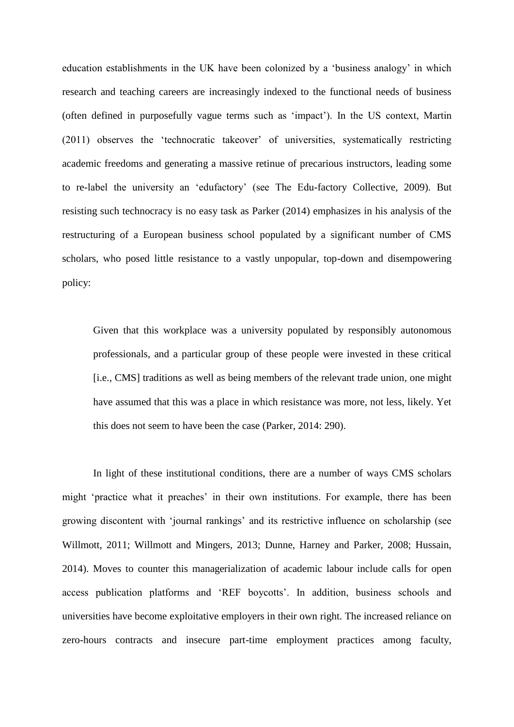education establishments in the UK have been colonized by a 'business analogy' in which research and teaching careers are increasingly indexed to the functional needs of business (often defined in purposefully vague terms such as 'impact'). In the US context, Martin (2011) observes the 'technocratic takeover' of universities, systematically restricting academic freedoms and generating a massive retinue of precarious instructors, leading some to re-label the university an 'edufactory' (see The Edu-factory Collective, 2009). But resisting such technocracy is no easy task as Parker (2014) emphasizes in his analysis of the restructuring of a European business school populated by a significant number of CMS scholars, who posed little resistance to a vastly unpopular, top-down and disempowering policy:

Given that this workplace was a university populated by responsibly autonomous professionals, and a particular group of these people were invested in these critical [i.e., CMS] traditions as well as being members of the relevant trade union, one might have assumed that this was a place in which resistance was more, not less, likely. Yet this does not seem to have been the case (Parker, 2014: 290).

In light of these institutional conditions, there are a number of ways CMS scholars might 'practice what it preaches' in their own institutions. For example, there has been growing discontent with 'journal rankings' and its restrictive influence on scholarship (see Willmott, 2011; Willmott and Mingers, 2013; Dunne, Harney and Parker, 2008; Hussain, 2014). Moves to counter this managerialization of academic labour include calls for open access publication platforms and 'REF boycotts'. In addition, business schools and universities have become exploitative employers in their own right. The increased reliance on zero-hours contracts and insecure part-time employment practices among faculty,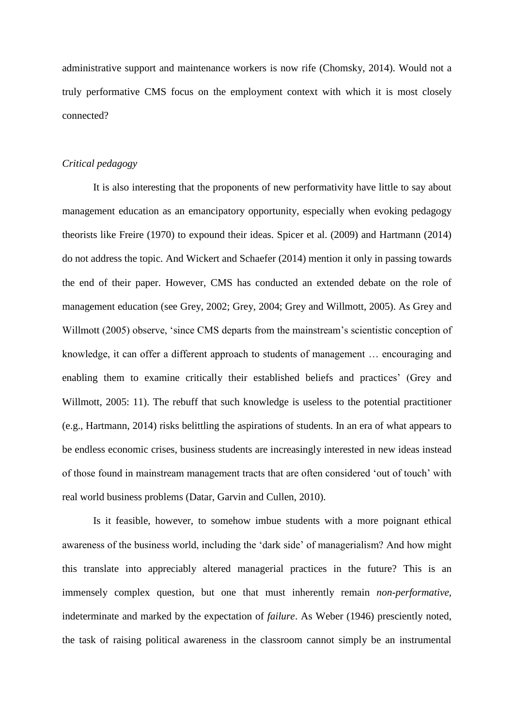administrative support and maintenance workers is now rife (Chomsky, 2014). Would not a truly performative CMS focus on the employment context with which it is most closely connected?

### *Critical pedagogy*

It is also interesting that the proponents of new performativity have little to say about management education as an emancipatory opportunity, especially when evoking pedagogy theorists like Freire (1970) to expound their ideas. Spicer et al. (2009) and Hartmann (2014) do not address the topic. And Wickert and Schaefer (2014) mention it only in passing towards the end of their paper. However, CMS has conducted an extended debate on the role of management education (see Grey, 2002; Grey, 2004; Grey and Willmott, 2005). As Grey and Willmott (2005) observe, 'since CMS departs from the mainstream's scientistic conception of knowledge, it can offer a different approach to students of management … encouraging and enabling them to examine critically their established beliefs and practices' (Grey and Willmott, 2005: 11). The rebuff that such knowledge is useless to the potential practitioner (e.g., Hartmann, 2014) risks belittling the aspirations of students. In an era of what appears to be endless economic crises, business students are increasingly interested in new ideas instead of those found in mainstream management tracts that are often considered 'out of touch' with real world business problems (Datar, Garvin and Cullen, 2010).

Is it feasible, however, to somehow imbue students with a more poignant ethical awareness of the business world, including the 'dark side' of managerialism? And how might this translate into appreciably altered managerial practices in the future? This is an immensely complex question, but one that must inherently remain *non-performative*, indeterminate and marked by the expectation of *failure*. As Weber (1946) presciently noted, the task of raising political awareness in the classroom cannot simply be an instrumental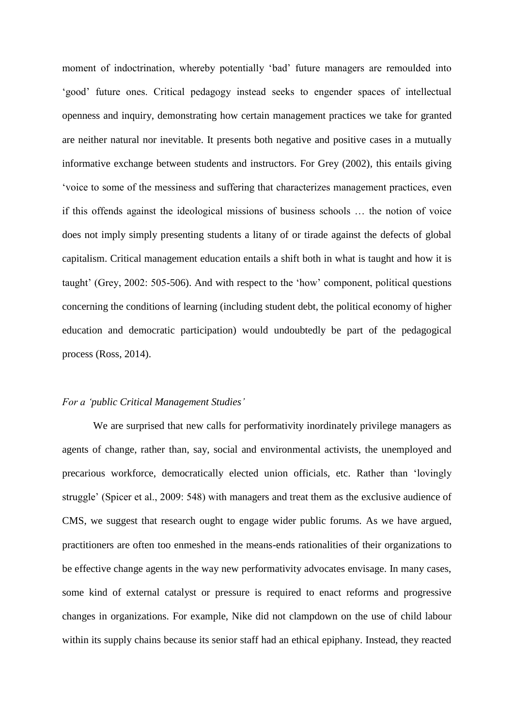moment of indoctrination, whereby potentially 'bad' future managers are remoulded into 'good' future ones. Critical pedagogy instead seeks to engender spaces of intellectual openness and inquiry, demonstrating how certain management practices we take for granted are neither natural nor inevitable. It presents both negative and positive cases in a mutually informative exchange between students and instructors. For Grey (2002), this entails giving 'voice to some of the messiness and suffering that characterizes management practices, even if this offends against the ideological missions of business schools … the notion of voice does not imply simply presenting students a litany of or tirade against the defects of global capitalism. Critical management education entails a shift both in what is taught and how it is taught' (Grey, 2002: 505-506). And with respect to the 'how' component, political questions concerning the conditions of learning (including student debt, the political economy of higher education and democratic participation) would undoubtedly be part of the pedagogical process (Ross, 2014).

#### *For a 'public Critical Management Studies'*

We are surprised that new calls for performativity inordinately privilege managers as agents of change, rather than, say, social and environmental activists, the unemployed and precarious workforce, democratically elected union officials, etc. Rather than 'lovingly struggle' (Spicer et al., 2009: 548) with managers and treat them as the exclusive audience of CMS, we suggest that research ought to engage wider public forums. As we have argued, practitioners are often too enmeshed in the means-ends rationalities of their organizations to be effective change agents in the way new performativity advocates envisage. In many cases, some kind of external catalyst or pressure is required to enact reforms and progressive changes in organizations. For example, Nike did not clampdown on the use of child labour within its supply chains because its senior staff had an ethical epiphany. Instead, they reacted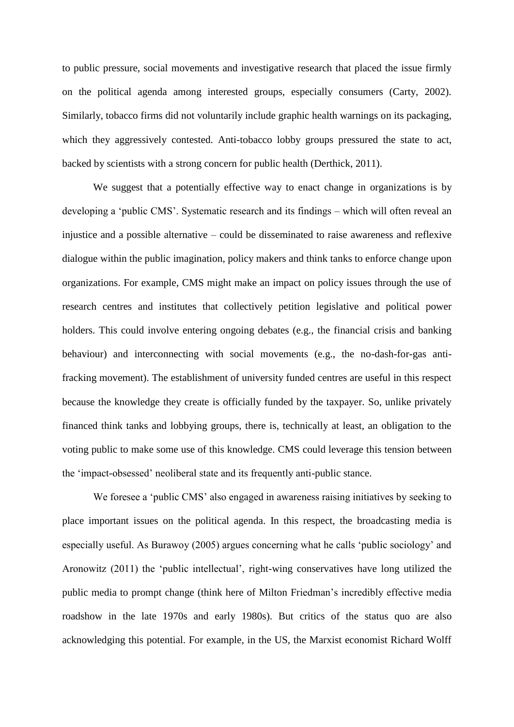to public pressure, social movements and investigative research that placed the issue firmly on the political agenda among interested groups, especially consumers (Carty, 2002). Similarly, tobacco firms did not voluntarily include graphic health warnings on its packaging, which they aggressively contested. Anti-tobacco lobby groups pressured the state to act, backed by scientists with a strong concern for public health (Derthick, 2011).

We suggest that a potentially effective way to enact change in organizations is by developing a 'public CMS'. Systematic research and its findings – which will often reveal an injustice and a possible alternative – could be disseminated to raise awareness and reflexive dialogue within the public imagination, policy makers and think tanks to enforce change upon organizations. For example, CMS might make an impact on policy issues through the use of research centres and institutes that collectively petition legislative and political power holders. This could involve entering ongoing debates (e.g., the financial crisis and banking behaviour) and interconnecting with social movements (e.g., the no-dash-for-gas antifracking movement). The establishment of university funded centres are useful in this respect because the knowledge they create is officially funded by the taxpayer. So, unlike privately financed think tanks and lobbying groups, there is, technically at least, an obligation to the voting public to make some use of this knowledge. CMS could leverage this tension between the 'impact-obsessed' neoliberal state and its frequently anti-public stance.

We foresee a 'public CMS' also engaged in awareness raising initiatives by seeking to place important issues on the political agenda. In this respect, the broadcasting media is especially useful. As Burawoy (2005) argues concerning what he calls 'public sociology' and Aronowitz (2011) the 'public intellectual', right-wing conservatives have long utilized the public media to prompt change (think here of Milton Friedman's incredibly effective media roadshow in the late 1970s and early 1980s). But critics of the status quo are also acknowledging this potential. For example, in the US, the Marxist economist Richard Wolff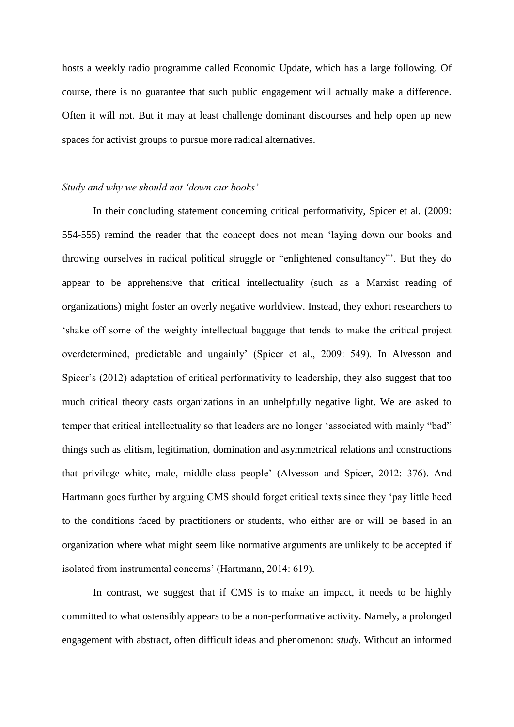hosts a weekly radio programme called Economic Update, which has a large following. Of course, there is no guarantee that such public engagement will actually make a difference. Often it will not. But it may at least challenge dominant discourses and help open up new spaces for activist groups to pursue more radical alternatives.

# *Study and why we should not 'down our books'*

In their concluding statement concerning critical performativity, Spicer et al. (2009: 554-555) remind the reader that the concept does not mean 'laying down our books and throwing ourselves in radical political struggle or "enlightened consultancy"'. But they do appear to be apprehensive that critical intellectuality (such as a Marxist reading of organizations) might foster an overly negative worldview. Instead, they exhort researchers to 'shake off some of the weighty intellectual baggage that tends to make the critical project overdetermined, predictable and ungainly' (Spicer et al., 2009: 549). In Alvesson and Spicer's (2012) adaptation of critical performativity to leadership, they also suggest that too much critical theory casts organizations in an unhelpfully negative light. We are asked to temper that critical intellectuality so that leaders are no longer 'associated with mainly "bad" things such as elitism, legitimation, domination and asymmetrical relations and constructions that privilege white, male, middle-class people' (Alvesson and Spicer, 2012: 376). And Hartmann goes further by arguing CMS should forget critical texts since they 'pay little heed to the conditions faced by practitioners or students, who either are or will be based in an organization where what might seem like normative arguments are unlikely to be accepted if isolated from instrumental concerns' (Hartmann, 2014: 619).

In contrast, we suggest that if CMS is to make an impact, it needs to be highly committed to what ostensibly appears to be a non-performative activity. Namely, a prolonged engagement with abstract, often difficult ideas and phenomenon: *study*. Without an informed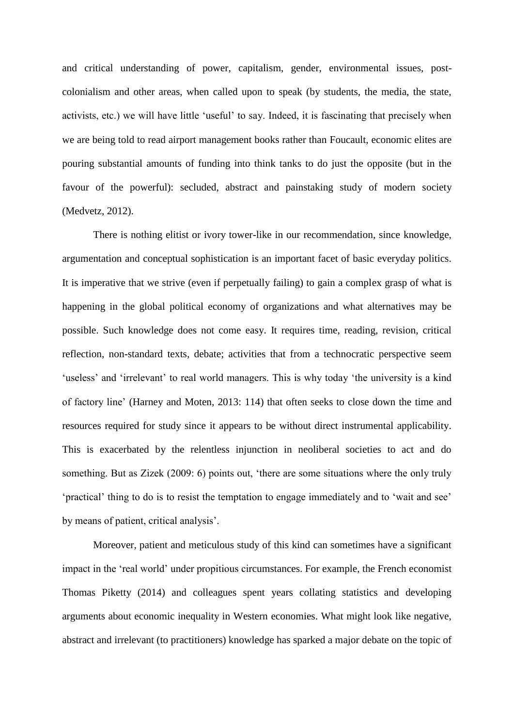and critical understanding of power, capitalism, gender, environmental issues, postcolonialism and other areas, when called upon to speak (by students, the media, the state, activists, etc.) we will have little 'useful' to say. Indeed, it is fascinating that precisely when we are being told to read airport management books rather than Foucault, economic elites are pouring substantial amounts of funding into think tanks to do just the opposite (but in the favour of the powerful): secluded, abstract and painstaking study of modern society (Medvetz, 2012).

There is nothing elitist or ivory tower-like in our recommendation, since knowledge, argumentation and conceptual sophistication is an important facet of basic everyday politics. It is imperative that we strive (even if perpetually failing) to gain a complex grasp of what is happening in the global political economy of organizations and what alternatives may be possible. Such knowledge does not come easy. It requires time, reading, revision, critical reflection, non-standard texts, debate; activities that from a technocratic perspective seem 'useless' and 'irrelevant' to real world managers. This is why today 'the university is a kind of factory line' (Harney and Moten, 2013: 114) that often seeks to close down the time and resources required for study since it appears to be without direct instrumental applicability. This is exacerbated by the relentless injunction in neoliberal societies to act and do something. But as Zizek (2009: 6) points out, 'there are some situations where the only truly 'practical' thing to do is to resist the temptation to engage immediately and to 'wait and see' by means of patient, critical analysis'.

Moreover, patient and meticulous study of this kind can sometimes have a significant impact in the 'real world' under propitious circumstances. For example, the French economist Thomas Piketty (2014) and colleagues spent years collating statistics and developing arguments about economic inequality in Western economies. What might look like negative, abstract and irrelevant (to practitioners) knowledge has sparked a major debate on the topic of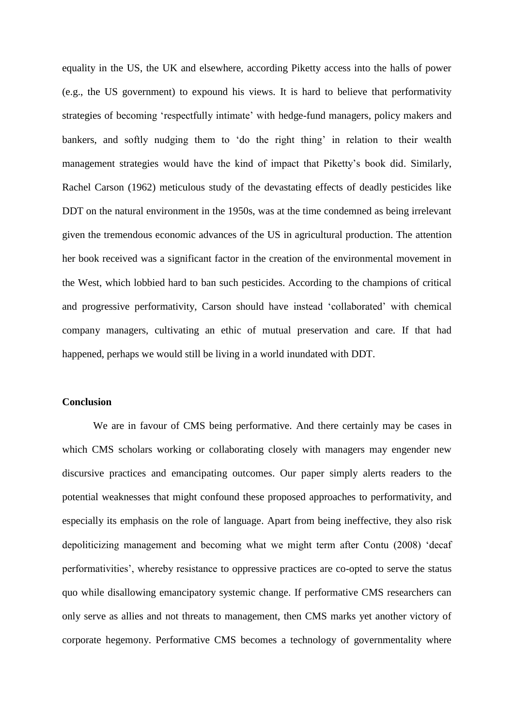equality in the US, the UK and elsewhere, according Piketty access into the halls of power (e.g., the US government) to expound his views. It is hard to believe that performativity strategies of becoming 'respectfully intimate' with hedge-fund managers, policy makers and bankers, and softly nudging them to 'do the right thing' in relation to their wealth management strategies would have the kind of impact that Piketty's book did. Similarly, Rachel Carson (1962) meticulous study of the devastating effects of deadly pesticides like DDT on the natural environment in the 1950s, was at the time condemned as being irrelevant given the tremendous economic advances of the US in agricultural production. The attention her book received was a significant factor in the creation of the environmental movement in the West, which lobbied hard to ban such pesticides. According to the champions of critical and progressive performativity, Carson should have instead 'collaborated' with chemical company managers, cultivating an ethic of mutual preservation and care. If that had happened, perhaps we would still be living in a world inundated with DDT.

# **Conclusion**

We are in favour of CMS being performative. And there certainly may be cases in which CMS scholars working or collaborating closely with managers may engender new discursive practices and emancipating outcomes. Our paper simply alerts readers to the potential weaknesses that might confound these proposed approaches to performativity, and especially its emphasis on the role of language. Apart from being ineffective, they also risk depoliticizing management and becoming what we might term after Contu (2008) 'decaf performativities', whereby resistance to oppressive practices are co-opted to serve the status quo while disallowing emancipatory systemic change. If performative CMS researchers can only serve as allies and not threats to management, then CMS marks yet another victory of corporate hegemony. Performative CMS becomes a technology of governmentality where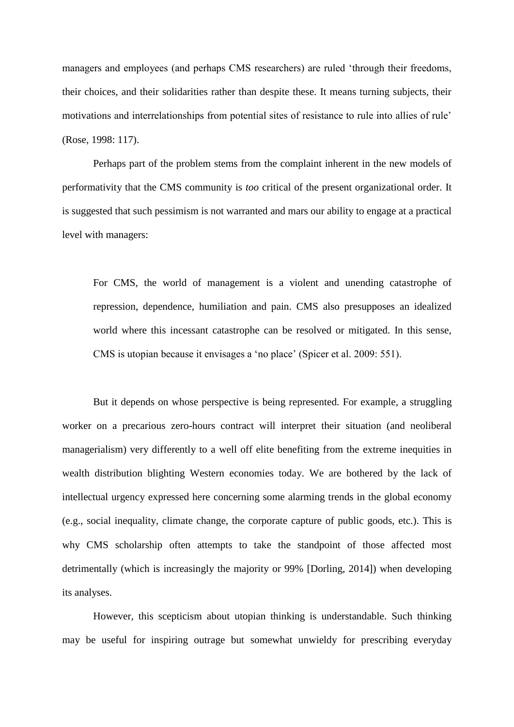managers and employees (and perhaps CMS researchers) are ruled 'through their freedoms, their choices, and their solidarities rather than despite these. It means turning subjects, their motivations and interrelationships from potential sites of resistance to rule into allies of rule' (Rose, 1998: 117).

Perhaps part of the problem stems from the complaint inherent in the new models of performativity that the CMS community is *too* critical of the present organizational order. It is suggested that such pessimism is not warranted and mars our ability to engage at a practical level with managers:

For CMS, the world of management is a violent and unending catastrophe of repression, dependence, humiliation and pain. CMS also presupposes an idealized world where this incessant catastrophe can be resolved or mitigated. In this sense, CMS is utopian because it envisages a 'no place' (Spicer et al. 2009: 551).

But it depends on whose perspective is being represented. For example, a struggling worker on a precarious zero-hours contract will interpret their situation (and neoliberal managerialism) very differently to a well off elite benefiting from the extreme inequities in wealth distribution blighting Western economies today. We are bothered by the lack of intellectual urgency expressed here concerning some alarming trends in the global economy (e.g., social inequality, climate change, the corporate capture of public goods, etc.). This is why CMS scholarship often attempts to take the standpoint of those affected most detrimentally (which is increasingly the majority or 99% [Dorling, 2014]) when developing its analyses.

However, this scepticism about utopian thinking is understandable. Such thinking may be useful for inspiring outrage but somewhat unwieldy for prescribing everyday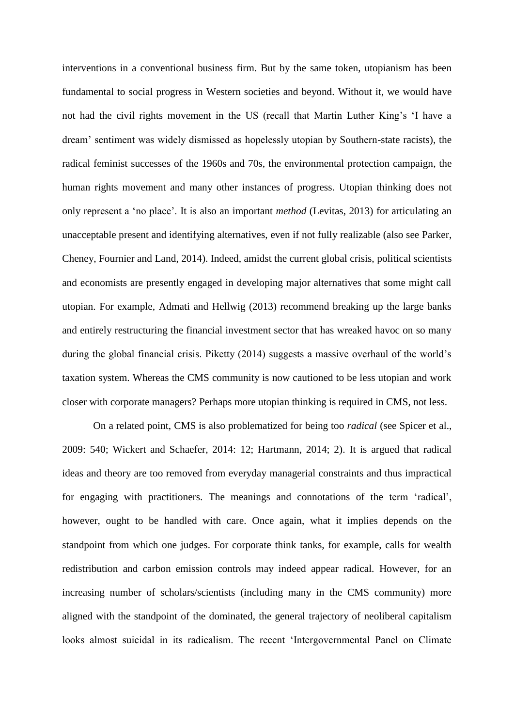interventions in a conventional business firm. But by the same token, utopianism has been fundamental to social progress in Western societies and beyond. Without it, we would have not had the civil rights movement in the US (recall that Martin Luther King's 'I have a dream' sentiment was widely dismissed as hopelessly utopian by Southern-state racists), the radical feminist successes of the 1960s and 70s, the environmental protection campaign, the human rights movement and many other instances of progress. Utopian thinking does not only represent a 'no place'. It is also an important *method* (Levitas, 2013) for articulating an unacceptable present and identifying alternatives, even if not fully realizable (also see Parker, Cheney, Fournier and Land, 2014). Indeed, amidst the current global crisis, political scientists and economists are presently engaged in developing major alternatives that some might call utopian. For example, Admati and Hellwig (2013) recommend breaking up the large banks and entirely restructuring the financial investment sector that has wreaked havoc on so many during the global financial crisis. Piketty (2014) suggests a massive overhaul of the world's taxation system. Whereas the CMS community is now cautioned to be less utopian and work closer with corporate managers? Perhaps more utopian thinking is required in CMS, not less.

On a related point, CMS is also problematized for being too *radical* (see Spicer et al., 2009: 540; Wickert and Schaefer, 2014: 12; Hartmann, 2014; 2). It is argued that radical ideas and theory are too removed from everyday managerial constraints and thus impractical for engaging with practitioners. The meanings and connotations of the term 'radical', however, ought to be handled with care. Once again, what it implies depends on the standpoint from which one judges. For corporate think tanks, for example, calls for wealth redistribution and carbon emission controls may indeed appear radical. However, for an increasing number of scholars/scientists (including many in the CMS community) more aligned with the standpoint of the dominated, the general trajectory of neoliberal capitalism looks almost suicidal in its radicalism. The recent 'Intergovernmental Panel on Climate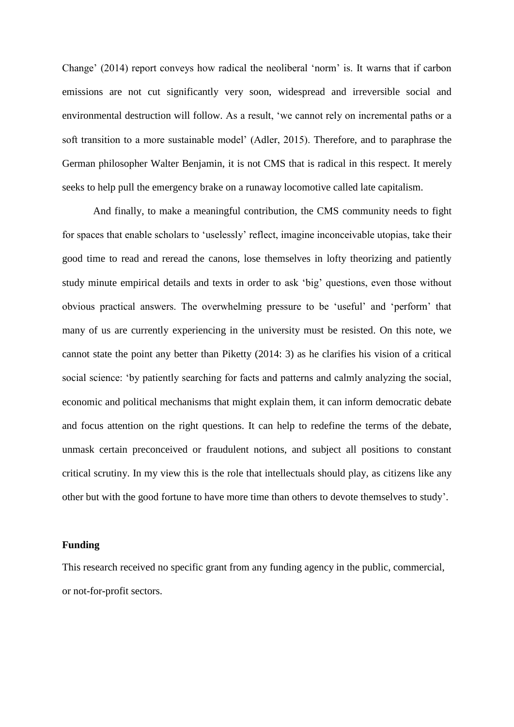Change' (2014) report conveys how radical the neoliberal 'norm' is. It warns that if carbon emissions are not cut significantly very soon, widespread and irreversible social and environmental destruction will follow. As a result, 'we cannot rely on incremental paths or a soft transition to a more sustainable model' (Adler, 2015). Therefore, and to paraphrase the German philosopher Walter Benjamin, it is not CMS that is radical in this respect. It merely seeks to help pull the emergency brake on a runaway locomotive called late capitalism.

And finally, to make a meaningful contribution, the CMS community needs to fight for spaces that enable scholars to 'uselessly' reflect, imagine inconceivable utopias, take their good time to read and reread the canons, lose themselves in lofty theorizing and patiently study minute empirical details and texts in order to ask 'big' questions, even those without obvious practical answers. The overwhelming pressure to be 'useful' and 'perform' that many of us are currently experiencing in the university must be resisted. On this note, we cannot state the point any better than Piketty (2014: 3) as he clarifies his vision of a critical social science: 'by patiently searching for facts and patterns and calmly analyzing the social, economic and political mechanisms that might explain them, it can inform democratic debate and focus attention on the right questions. It can help to redefine the terms of the debate, unmask certain preconceived or fraudulent notions, and subject all positions to constant critical scrutiny. In my view this is the role that intellectuals should play, as citizens like any other but with the good fortune to have more time than others to devote themselves to study'.

#### **Funding**

This research received no specific grant from any funding agency in the public, commercial, or not-for-profit sectors.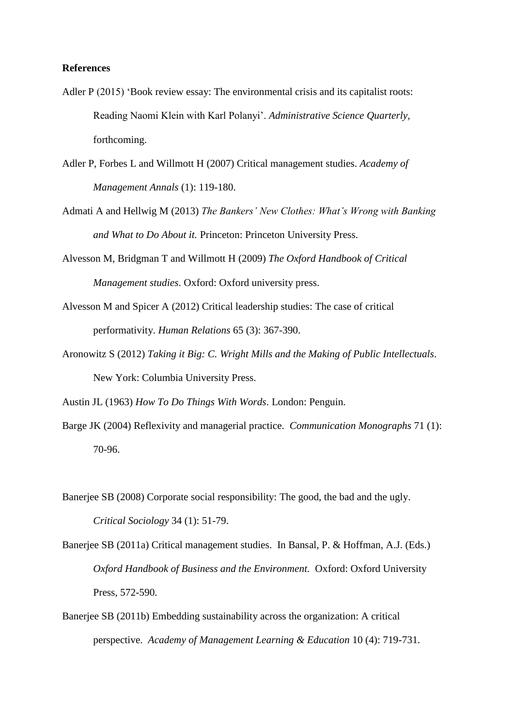#### **References**

- Adler P (2015) 'Book review essay: The environmental crisis and its capitalist roots: Reading Naomi Klein with Karl Polanyi'. *Administrative Science Quarterly,*  forthcoming.
- Adler P, Forbes L and Willmott H (2007) Critical management studies. *Academy of Management Annals* (1): 119-180.
- Admati A and Hellwig M (2013) *The Bankers' New Clothes: What's Wrong with Banking and What to Do About it.* Princeton: Princeton University Press.
- Alvesson M, Bridgman T and Willmott H (2009) *The Oxford Handbook of Critical Management studies*. Oxford: Oxford university press.
- Alvesson M and Spicer A (2012) Critical leadership studies: The case of critical performativity. *Human Relations* 65 (3): 367-390.
- Aronowitz S (2012) *Taking it Big: C. Wright Mills and the Making of Public Intellectuals*. New York: Columbia University Press.

Austin JL (1963) *How To Do Things With Words*. London: Penguin.

- Barge JK (2004) Reflexivity and managerial practice. *Communication Monographs* 71 (1): 70-96.
- Banerjee SB (2008) Corporate social responsibility: The good, the bad and the ugly. *Critical Sociology* 34 (1): 51-79.
- Banerjee SB (2011a) Critical management studies. In Bansal, P. & Hoffman, A.J. (Eds.) *Oxford Handbook of Business and the Environment.* Oxford: Oxford University Press, 572-590.
- Banerjee SB (2011b) Embedding sustainability across the organization: A critical perspective. *Academy of Management Learning & Education* 10 (4): 719-731.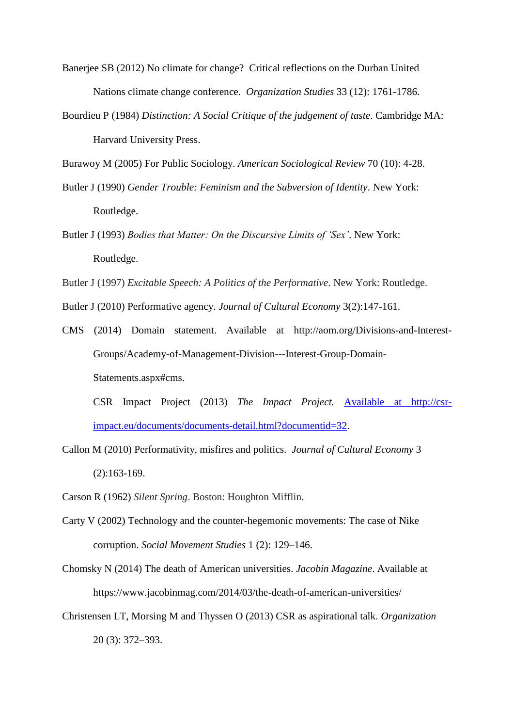- Banerjee SB (2012) No climate for change? Critical reflections on the Durban United Nations climate change conference. *Organization Studies* 33 (12): 1761-1786.
- Bourdieu P (1984) *Distinction: A Social Critique of the judgement of taste*. Cambridge MA: Harvard University Press.

Burawoy M (2005) For Public Sociology. *American Sociological Review* 70 (10): 4-28.

- Butler J (1990) *Gender Trouble: Feminism and the Subversion of Identity*. New York: Routledge.
- Butler J (1993) *Bodies that Matter: On the Discursive Limits of 'Sex'*. New York: Routledge.
- Butler J (1997) *Excitable Speech: A Politics of the Performative*. New York: Routledge.
- Butler J (2010) Performative agency. *Journal of Cultural Economy* 3(2):147-161.
- CMS (2014) Domain statement. Available at [http://aom.org/Divisions-and-Interest-](http://aom.org/Divisions-and-Interest-Groups/Academy-of-Management-Division---Interest-Group-Domain-Statements.aspx#cms)[Groups/Academy-of-Management-Division---Interest-Group-Domain-](http://aom.org/Divisions-and-Interest-Groups/Academy-of-Management-Division---Interest-Group-Domain-Statements.aspx#cms)[Statements.aspx#cms.](http://aom.org/Divisions-and-Interest-Groups/Academy-of-Management-Division---Interest-Group-Domain-Statements.aspx#cms)

CSR Impact Project (2013) *The Impact Project.* [Available at http://csr](file:///C:/Users/sbbj759/AppData/Local/Microsoft/Windows/Temporary%20Internet%20Files/Content.Outlook/CA3G6ZO1/Available%20at%20http:/csr-impact.eu/documents/documents-detail.html%3fdocumentid=32)[impact.eu/documents/documents-detail.html?documentid=32.](file:///C:/Users/sbbj759/AppData/Local/Microsoft/Windows/Temporary%20Internet%20Files/Content.Outlook/CA3G6ZO1/Available%20at%20http:/csr-impact.eu/documents/documents-detail.html%3fdocumentid=32)

- Callon M (2010) Performativity, misfires and politics. *Journal of Cultural Economy* 3 (2):163-169.
- Carson R (1962) *Silent Spring*. Boston: Houghton Mifflin.
- Carty V (2002) Technology and the counter-hegemonic movements: The case of Nike corruption. *Social Movement Studies* 1 (2): 129–146.
- Chomsky N (2014) The death of American universities. *Jacobin Magazine*. Available at https://www.jacobinmag.com/2014/03/the-death-of-american-universities/
- Christensen LT, Morsing M and Thyssen O (2013) CSR as aspirational talk. *Organization* 20 (3): 372–393.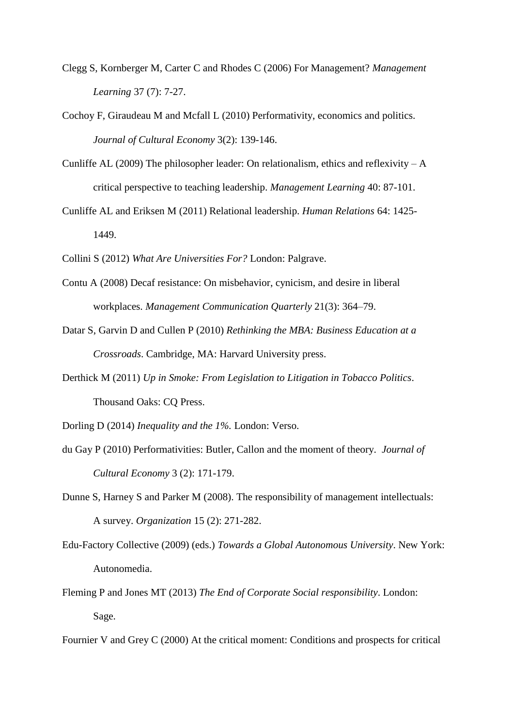- Clegg S, Kornberger M, Carter C and Rhodes C (2006) For Management? *Management Learning* 37 (7): 7-27.
- Cochoy F, Giraudeau M and Mcfall L (2010) Performativity, economics and politics. *Journal of Cultural Economy* 3(2): 139-146.
- Cunliffe AL (2009) The philosopher leader: On relationalism, ethics and reflexivity  $-A$ critical perspective to teaching leadership. *Management Learning* 40: 87-101.
- Cunliffe AL and Eriksen M (2011) Relational leadership. *Human Relations* 64: 1425- 1449.
- Collini S (2012) *What Are Universities For?* London: Palgrave.
- Contu A (2008) Decaf resistance: On misbehavior, cynicism, and desire in liberal workplaces. *Management Communication Quarterly* 21(3): 364–79.
- Datar S, Garvin D and Cullen P (2010) *Rethinking the MBA: Business Education at a Crossroads*. Cambridge, MA: Harvard University press.
- Derthick M (2011) *Up in Smoke: From Legislation to Litigation in Tobacco Politics*. Thousand Oaks: CQ Press.
- Dorling D (2014) *Inequality and the 1%.* London: Verso.
- du Gay P (2010) Performativities: Butler, Callon and the moment of theory. *Journal of Cultural Economy* 3 (2): 171-179.
- Dunne S, Harney S and Parker M (2008). The responsibility of management intellectuals: A survey. *Organization* 15 (2): 271-282.
- Edu-Factory Collective (2009) (eds.) *Towards a Global Autonomous University*. New York: Autonomedia.
- Fleming P and Jones MT (2013) *The End of Corporate Social responsibility*. London: Sage.
- Fournier V and Grey C (2000) At the critical moment: Conditions and prospects for critical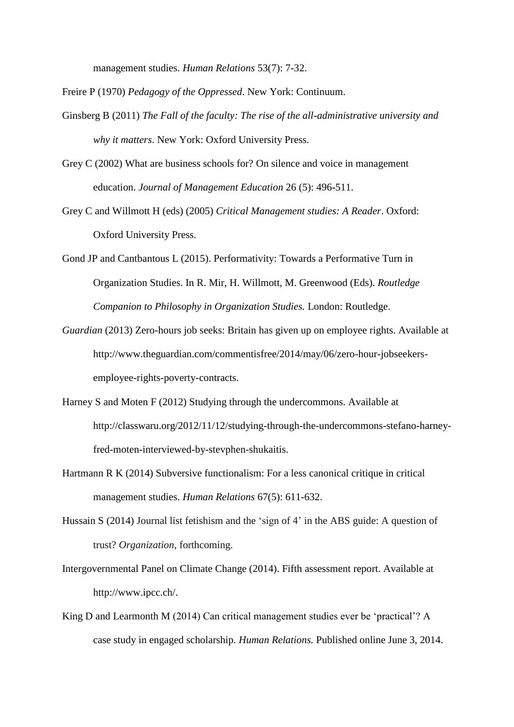management studies. *Human Relations* 53(7): 7-32.

Freire P (1970) *Pedagogy of the Oppressed*. New York: Continuum.

- Ginsberg B (2011) *The Fall of the faculty: The rise of the all-administrative university and why it matters*. New York: Oxford University Press.
- Grey C (2002) What are business schools for? On silence and voice in management education. *Journal of Management Education* 26 (5): 496-511.
- Grey C and Willmott H (eds) (2005) *Critical Management studies: A Reader*. Oxford: Oxford University Press.
- Gond JP and Cantbantous L (2015). Performativity: Towards a Performative Turn in Organization Studies. In R. Mir, H. Willmott, M. Greenwood (Eds). *Routledge Companion to Philosophy in Organization Studies.* London: Routledge.
- *Guardian* (2013) Zero-hours job seeks: Britain has given up on employee rights. Available at [http://www.theguardian.com/commentisfree/2014/may/06/zero-hour-jobseekers](http://www.theguardian.com/commentisfree/2014/may/06/zero-hour-jobseekers-)employee-rights-poverty-contracts.
- Harney S and Moten F (2012) Studying through the undercommons. Available at [http://classwaru.org/2012/11/12/studying-through-the-undercommons-stefano-harney](http://classwaru.org/2012/11/12/studying-through-the-undercommons-stefano-harney-fred-moten-interviewed-by-stevphen-shukaitis)[fred-moten-interviewed-by-stevphen-shukaitis.](http://classwaru.org/2012/11/12/studying-through-the-undercommons-stefano-harney-fred-moten-interviewed-by-stevphen-shukaitis)
- Hartmann R K (2014) Subversive functionalism: For a less canonical critique in critical management studies. *Human Relations* 67(5): 611-632.
- Hussain S (2014) Journal list fetishism and the 'sign of 4' in the ABS guide: A question of trust? *Organization*, forthcoming.
- Intergovernmental Panel on Climate Change (2014). Fifth assessment report. Available at [http://www.ipcc.ch/.](http://www.ipcc.ch/)
- King D and Learmonth M (2014) Can critical management studies ever be 'practical'? A case study in engaged scholarship. *Human Relations.* Published online June 3, 2014.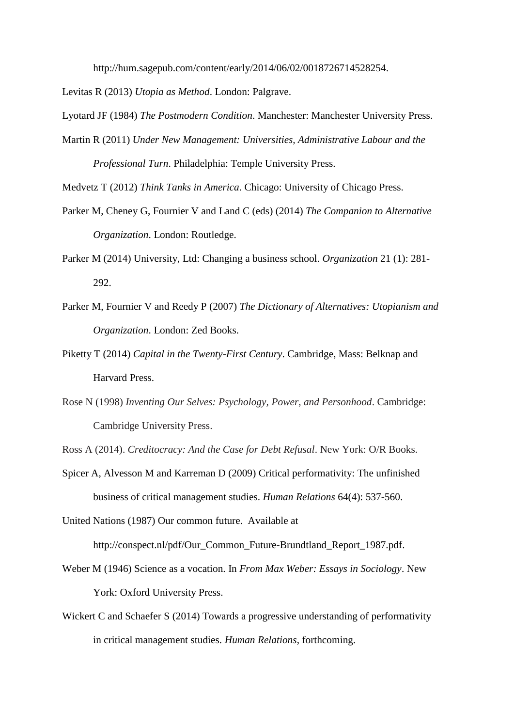[http://hum.sagepub.com/content/early/2014/06/02/0018726714528254.](http://hum.sagepub.com/content/early/2014/06/02/0018726714528254)

Levitas R (2013) *Utopia as Method*. London: Palgrave.

Lyotard JF (1984) *The Postmodern Condition*. Manchester: Manchester University Press.

Martin R (2011) *Under New Management: Universities, Administrative Labour and the Professional Turn*. Philadelphia: Temple University Press.

Medvetz T (2012) *Think Tanks in America*. Chicago: University of Chicago Press.

- Parker M, Cheney G, Fournier V and Land C (eds) (2014) *The Companion to Alternative Organization*. London: Routledge.
- Parker M (2014) University, Ltd: Changing a business school. *Organization* 21 (1): 281- 292.
- Parker M, Fournier V and Reedy P (2007) *The Dictionary of Alternatives: Utopianism and Organization*. London: Zed Books.
- Piketty T (2014) *Capital in the Twenty-First Century*. Cambridge, Mass: Belknap and Harvard Press.
- Rose N (1998) *Inventing Our Selves: Psychology, Power, and Personhood*. Cambridge: Cambridge University Press.

Ross A (2014). *Creditocracy: And the Case for Debt Refusal*. New York: O/R Books.

Spicer A, Alvesson M and Karreman D (2009) Critical performativity: The unfinished business of critical management studies. *Human Relations* 64(4): 537-560.

United Nations (1987) Our common future. Available at [http://conspect.nl/pdf/Our\\_Common\\_Future-Brundtland\\_Report\\_1987.pdf.](http://conspect.nl/pdf/Our_Common_Future-Brundtland_Report_1987.pdf)

- Weber M (1946) Science as a vocation. In *From Max Weber: Essays in Sociology*. New York: Oxford University Press.
- Wickert C and Schaefer S (2014) Towards a progressive understanding of performativity in critical management studies. *Human Relations*, forthcoming.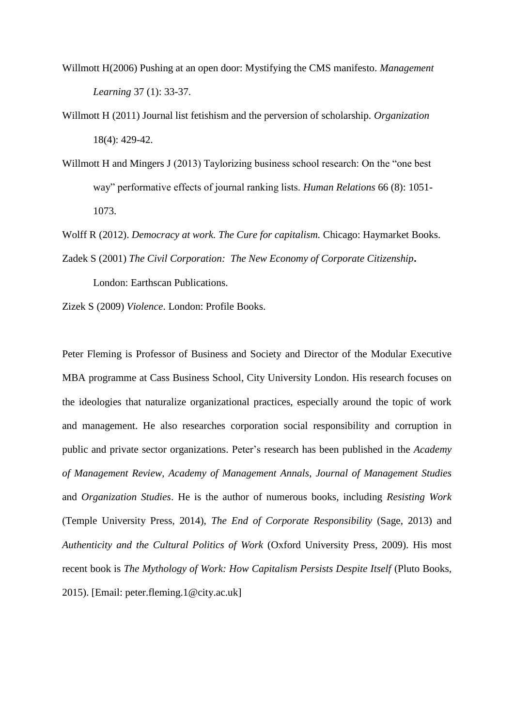- Willmott H(2006) Pushing at an open door: Mystifying the CMS manifesto. *Management Learning* 37 (1): 33-37.
- Willmott H (2011) Journal list fetishism and the perversion of scholarship. *Organization* 18(4): 429-42.
- Willmott H and Mingers J (2013) Taylorizing business school research: On the "one best way" performative effects of journal ranking lists. *Human Relations* 66 (8): 1051- 1073.
- Wolff R (2012). *Democracy at work. The Cure for capitalism.* Chicago: Haymarket Books. Zadek S (2001) *The Civil Corporation: The New Economy of Corporate Citizenship***.**

London: Earthscan Publications.

Zizek S (2009) *Violence*. London: Profile Books.

Peter Fleming is Professor of Business and Society and Director of the Modular Executive MBA programme at Cass Business School, City University London. His research focuses on the ideologies that naturalize organizational practices, especially around the topic of work and management. He also researches corporation social responsibility and corruption in public and private sector organizations. Peter's research has been published in the *Academy of Management Review*, *Academy of Management Annals*, *Journal of Management Studies* and *Organization Studies*. He is the author of numerous books, including *Resisting Work* (Temple University Press, 2014), *The End of Corporate Responsibility* (Sage, 2013) and *Authenticity and the Cultural Politics of Work* (Oxford University Press, 2009). His most recent book is *The Mythology of Work: How Capitalism Persists Despite Itself* (Pluto Books, 2015). [Email: peter.fleming.1@city.ac.uk]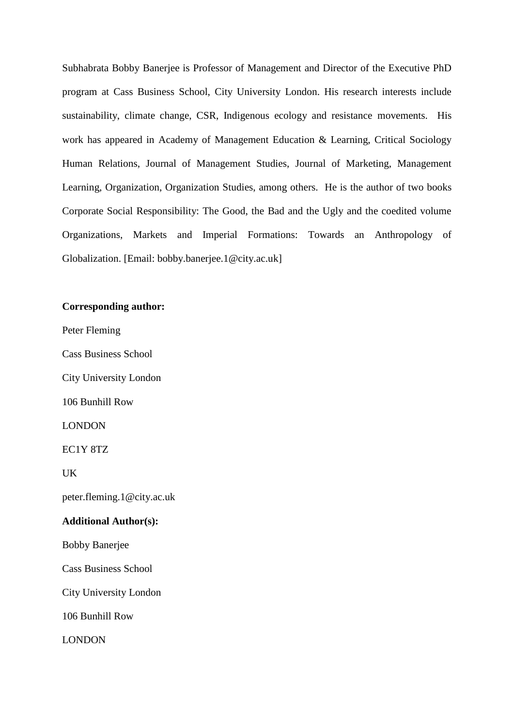Subhabrata Bobby Banerjee is Professor of Management and Director of the Executive PhD program at Cass Business School, City University London. His research interests include sustainability, climate change, CSR, Indigenous ecology and resistance movements. His work has appeared in Academy of Management Education & Learning, Critical Sociology Human Relations, Journal of Management Studies, Journal of Marketing, Management Learning, Organization, Organization Studies, among others. He is the author of two books Corporate Social Responsibility: The Good, the Bad and the Ugly and the coedited volume Organizations, Markets and Imperial Formations: Towards an Anthropology of Globalization. [Email: bobby.banerjee.1@city.ac.uk]

# **Corresponding author:**

Peter Fleming

Cass Business School

City University London

106 Bunhill Row

LONDON

EC1Y 8TZ

UK

peter.fleming.1@city.ac.uk

#### **Additional Author(s):**

Bobby Banerjee

Cass Business School

City University London

106 Bunhill Row

LONDON